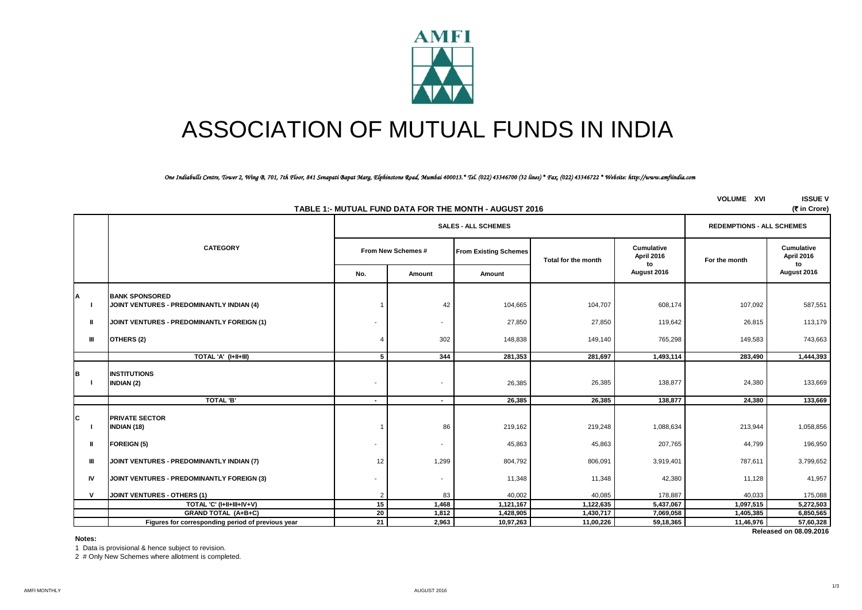

# ASSOCIATION OF MUTUAL FUNDS IN INDIA

#### *One Indiabulls Centre, Tower 2, Wing B, 701, 7th Floor, 841 Senapati Bapat Marg, Elphinstone Road, Mumbai 400013.\* Tel. (022) 43346700 (32 lines) \* Fax. (022) 43346722 \* Website: http://www.amfiindia.com*

|    | TABLE 1:- MUTUAL FUND DATA FOR THE MONTH - AUGUST 2016<br>(र in Crore) |                                                   |                    |                                  |                              |                     |                          |               |                                |  |  |
|----|------------------------------------------------------------------------|---------------------------------------------------|--------------------|----------------------------------|------------------------------|---------------------|--------------------------|---------------|--------------------------------|--|--|
|    |                                                                        |                                                   |                    | <b>REDEMPTIONS - ALL SCHEMES</b> |                              |                     |                          |               |                                |  |  |
|    | <b>CATEGORY</b>                                                        |                                                   | From New Schemes # |                                  | <b>From Existing Schemes</b> | Total for the month | Cumulative<br>April 2016 | For the month | Cumulative<br>April 2016<br>to |  |  |
|    |                                                                        |                                                   | No.                | Amount                           | Amount                       |                     | to<br>August 2016        |               | August 2016                    |  |  |
| A  |                                                                        | <b>BANK SPONSORED</b>                             |                    |                                  |                              |                     |                          |               |                                |  |  |
|    |                                                                        | JOINT VENTURES - PREDOMINANTLY INDIAN (4)         |                    | 42                               | 104,665                      | 104,707             | 608,174                  | 107,092       | 587,551                        |  |  |
|    | Ш                                                                      | JOINT VENTURES - PREDOMINANTLY FOREIGN (1)        |                    | $\overline{\phantom{a}}$         | 27,850                       | 27,850              | 119,642                  | 26,815        | 113,179                        |  |  |
|    | Ш                                                                      | OTHERS (2)                                        | $\overline{4}$     | 302                              | 148,838                      | 149,140             | 765,298                  | 149,583       | 743,663                        |  |  |
|    |                                                                        | TOTAL 'A' (I+II+III)                              | 5                  | 344                              | 281,353                      | 281,697             | 1,493,114                | 283,490       | 1,444,393                      |  |  |
| в  |                                                                        | <b>INSTITUTIONS</b><br><b>INDIAN (2)</b>          |                    | $\overline{\phantom{a}}$         | 26,385                       | 26,385              | 138,877                  | 24,380        | 133,669                        |  |  |
|    |                                                                        | <b>TOTAL 'B'</b>                                  | $\blacksquare$     | $\blacksquare$                   | 26,385                       | 26,385              | 138,877                  | 24,380        | 133,669                        |  |  |
| IС |                                                                        | <b>PRIVATE SECTOR</b><br><b>INDIAN (18)</b>       |                    | 86                               | 219,162                      | 219,248             | 1,088,634                | 213,944       | 1,058,856                      |  |  |
|    | Ш                                                                      | <b>FOREIGN (5)</b>                                |                    | $\overline{\phantom{a}}$         | 45,863                       | 45,863              | 207,765                  | 44,799        | 196,950                        |  |  |
|    | Ш                                                                      | JOINT VENTURES - PREDOMINANTLY INDIAN (7)         | 12                 | 1,299                            | 804,792                      | 806,091             | 3,919,401                | 787,611       | 3,799,652                      |  |  |
|    | IV                                                                     | JOINT VENTURES - PREDOMINANTLY FOREIGN (3)        |                    | $\overline{\phantom{a}}$         | 11,348                       | 11,348              | 42,380                   | 11,128        | 41,957                         |  |  |
|    | V                                                                      | <b>JOINT VENTURES - OTHERS (1)</b>                | $\overline{2}$     | 83                               | 40,002                       | 40,085              | 178,887                  | 40,033        | 175,088                        |  |  |
|    |                                                                        | TOTAL 'C' (I+II+III+IV+V)                         | 15                 | 1,468                            | 1,121,167                    | 1,122,635           | 5,437,067                | 1,097,515     | 5,272,503                      |  |  |
|    |                                                                        | <b>GRAND TOTAL (A+B+C)</b>                        | 20                 | 1,812                            | 1,428,905                    | 1,430,717           | 7,069,058                | 1,405,385     | 6,850,565                      |  |  |
|    |                                                                        | Figures for corresponding period of previous year | $\overline{21}$    | 2,963                            | 10,97,263                    | 11,00,226           | 59,18,365                | 11,46,976     | 57,60,328                      |  |  |

 **Released on 08.09.2016**

**VOLUME XVI ISSUE V**

#### **Notes:**

1 Data is provisional & hence subject to revision.

2 # Only New Schemes where allotment is completed.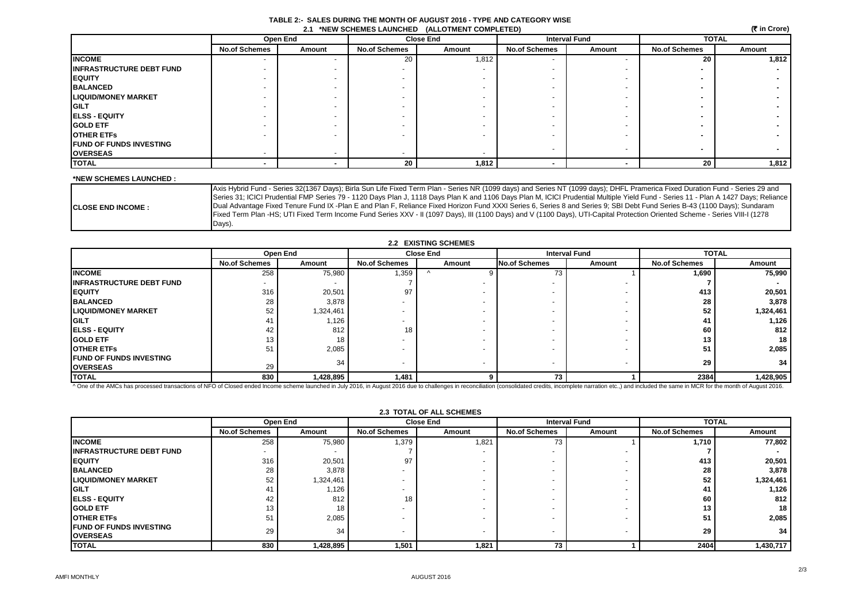|                                                 | TABLE 2:- SALES DURING THE MONTH OF AUGUST 2016 - TYPE AND CATEGORY WISE |
|-------------------------------------------------|--------------------------------------------------------------------------|
| 2.1 *NEW SCHEMES LAUNCHED (ALLOTMENT COMPLETED) |                                                                          |

 **(**` **in Crore)**

|                                  |                      | <b>Open End</b> |                          | <b>Close End</b> | <b>Interval Fund</b> |                          | <b>TOTAL</b>         |        |
|----------------------------------|----------------------|-----------------|--------------------------|------------------|----------------------|--------------------------|----------------------|--------|
|                                  | <b>No.of Schemes</b> | Amount          | <b>No.of Schemes</b>     | Amount           | <b>No.of Schemes</b> | Amount                   | <b>No.of Schemes</b> | Amount |
| <b>INCOME</b>                    |                      |                 | 20                       | 1,812            |                      |                          | 20                   | 1,812  |
| <b>IINFRASTRUCTURE DEBT FUND</b> |                      |                 |                          |                  |                      |                          |                      |        |
| <b>EQUITY</b>                    |                      |                 |                          |                  |                      |                          |                      |        |
| <b>BALANCED</b>                  |                      |                 |                          |                  |                      |                          |                      |        |
| <b>LIQUID/MONEY MARKET</b>       |                      |                 |                          |                  |                      |                          |                      |        |
| <b>IGILT</b>                     |                      |                 |                          |                  |                      |                          |                      |        |
| <b>IELSS - EQUITY</b>            |                      |                 |                          |                  |                      |                          |                      |        |
| <b>GOLD ETF</b>                  |                      |                 |                          |                  |                      |                          |                      |        |
| <b>OTHER ETFS</b>                |                      |                 |                          |                  |                      |                          |                      |        |
| <b>FUND OF FUNDS INVESTING</b>   |                      |                 |                          |                  |                      | $\overline{\phantom{0}}$ |                      |        |
| <b>OVERSEAS</b>                  |                      |                 | $\overline{\phantom{a}}$ |                  |                      |                          |                      |        |
| <b>TOTAL</b>                     |                      |                 | 20                       | 1,812            |                      |                          | 20                   | 1,812  |

#### **\*NEW SCHEMES LAUNCHED :**

|                           | Axis Hybrid Fund - Series 32(1367 Days); Birla Sun Life Fixed Term Plan - Series NR (1099 days) and Series NT (1099 days); DHFL Pramerica Fixed Duration Fund - Series 29 and      |
|---------------------------|------------------------------------------------------------------------------------------------------------------------------------------------------------------------------------|
|                           | Series 31; ICICI Prudential FMP Series 79 - 1120 Days Plan J, 1118 Days Plan K and 1106 Days Plan M, ICICI Prudential Multiple Yield Fund - Series 11 - Plan A 1427 Days; Reliance |
| <b>ICLOSE END INCOME:</b> | Dual Advantage Fixed Tenure Fund IX -Plan E and Plan F, Reliance Fixed Horizon Fund XXXI Series 6, Series 8 and Series 9; SBI Debt Fund Series B-43 (1100 Days); Sundaram          |
|                           | Fixed Term Plan -HS; UTI Fixed Term Income Fund Series XXV - II (1097 Days), III (1100 Days) and V (1100 Days), UTI-Capital Protection Oriented Scheme - Series VIII-I (1278       |
|                           | Days).                                                                                                                                                                             |

|                                  | 2.2 EXISTING SCHEMES     |                 |                          |                          |                      |                          |                      |              |  |
|----------------------------------|--------------------------|-----------------|--------------------------|--------------------------|----------------------|--------------------------|----------------------|--------------|--|
|                                  |                          | <b>Open End</b> |                          | <b>Close End</b>         |                      | <b>Interval Fund</b>     |                      | <b>TOTAL</b> |  |
|                                  | <b>No.of Schemes</b>     | Amount          | <b>No.of Schemes</b>     | Amount                   | <b>No.of Schemes</b> | Amount                   | <b>No.of Schemes</b> | Amount       |  |
| <b>INCOME</b>                    | 258                      | 75,980          | 1,359                    |                          | 73                   |                          | 1,690                | 75,990       |  |
| <b>IINFRASTRUCTURE DEBT FUND</b> | $\overline{\phantom{a}}$ |                 |                          |                          |                      |                          |                      |              |  |
| <b>EQUITY</b>                    | 316                      | 20,501          | 97                       |                          |                      |                          | 413                  | 20,501       |  |
| <b>BALANCED</b>                  | 28                       | 3,878           | $\overline{\phantom{a}}$ |                          |                      |                          | 28                   | 3,878        |  |
| <b>LIQUID/MONEY MARKET</b>       | 52                       | 1,324,461       | $\overline{\phantom{a}}$ |                          |                      |                          | 52                   | 1,324,461    |  |
| <b>IGILT</b>                     | 41                       | 1,126           | $\overline{\phantom{a}}$ |                          |                      |                          |                      | 1,126        |  |
| <b>IELSS - EQUITY</b>            | 42                       | 812             | 18                       |                          |                      |                          | 60                   | 812          |  |
| <b>IGOLD ETF</b>                 | 13                       | 18              |                          |                          |                      |                          | 13                   | 18           |  |
| <b>OTHER ETFS</b>                | 51                       | 2,085           |                          |                          |                      |                          | 51                   | 2,085        |  |
| <b>IFUND OF FUNDS INVESTING</b>  |                          | 34              | $\overline{\phantom{a}}$ | $\overline{\phantom{0}}$ | $\sim$               | $\overline{\phantom{a}}$ | 29                   | 34           |  |
| <b>OVERSEAS</b>                  | 29                       |                 |                          |                          |                      |                          |                      |              |  |
| <b>TOTAL</b>                     | 830                      | 1,428,895       | 1,481                    |                          | 73                   |                          | 2384                 | 1,428,905    |  |

^ One of the AMCs has processed transactions of NFO of Closed ended Income scheme launched in July 2016, in August 2016 due to challenges in reconciliation (consolidated credits, incomplete narration etc.,) and included th

**2.3 TOTAL OF ALL SCHEMES** 

|                                  | Open End             |                 | <b>Close End</b>         |        | <b>Interval Fund</b>     |                          | <b>TOTAL</b>         |           |
|----------------------------------|----------------------|-----------------|--------------------------|--------|--------------------------|--------------------------|----------------------|-----------|
|                                  | <b>No.of Schemes</b> | Amount          | <b>No.of Schemes</b>     | Amount | <b>No.of Schemes</b>     | Amount                   | <b>No.of Schemes</b> | Amount    |
| <b>INCOME</b>                    | 258                  | 75,980          | 1,379                    | 1,821  | 73                       |                          | 1,710                | 77,802    |
| <b>IINFRASTRUCTURE DEBT FUND</b> |                      |                 |                          |        | $\overline{\phantom{0}}$ |                          |                      |           |
| <b>IEQUITY</b>                   | 316                  | 20,501          | 97                       |        | $\overline{\phantom{a}}$ |                          | 413                  | 20,501    |
| <b>BALANCED</b>                  | 28                   | 3,878           | $\overline{\phantom{a}}$ |        | $\overline{\phantom{0}}$ |                          | 28                   | 3,878     |
| <b>LIQUID/MONEY MARKET</b>       | 52                   | 1,324,461       | $\overline{\phantom{a}}$ |        | $\overline{\phantom{0}}$ | $\overline{\phantom{0}}$ | 52                   | 1,324,461 |
| <b>IGILT</b>                     | 41                   | 1,126           | $\overline{\phantom{a}}$ |        | -                        | -                        | 41                   | 1,126     |
| <b>IELSS - EQUITY</b>            | 42                   | 812             | 18.                      |        | $\overline{\phantom{0}}$ |                          | 60                   | 812       |
| <b>GOLD ETF</b>                  | 13                   | 18 <sub>1</sub> | $\overline{\phantom{a}}$ |        | $\overline{\phantom{0}}$ |                          | 13                   | 18        |
| <b>OTHER ETFS</b>                | 51                   | 2,085           | $\overline{\phantom{a}}$ |        | -                        |                          | 51                   | 2,085     |
| <b>FUND OF FUNDS INVESTING</b>   | 29                   | 34              |                          |        |                          |                          | 29                   | 34        |
| <b>OVERSEAS</b>                  |                      |                 | $\overline{\phantom{a}}$ |        | $\overline{\phantom{0}}$ | $\overline{\phantom{a}}$ |                      |           |
| <b>TOTAL</b>                     | 830                  | 1,428,895       | 1,501                    | 1,821  | 73                       |                          | 2404                 | 1,430,717 |